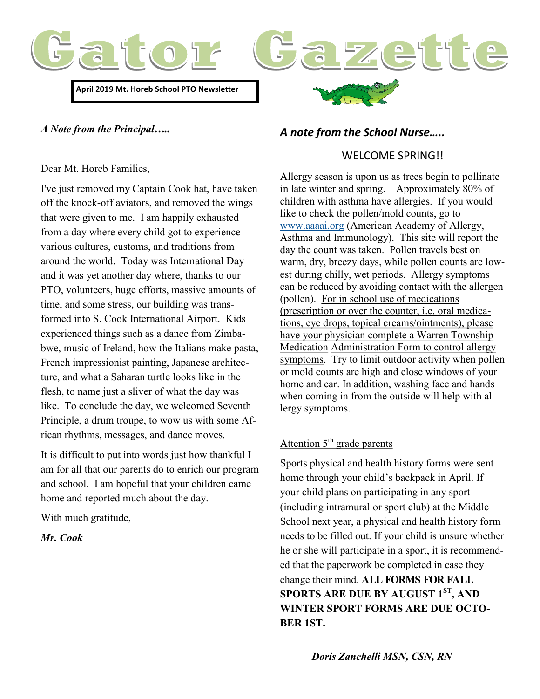

*A Note from the Principal…..*

#### Dear Mt. Horeb Families,

I've just removed my Captain Cook hat, have taken off the knock-off aviators, and removed the wings that were given to me. I am happily exhausted from a day where every child got to experience various cultures, customs, and traditions from around the world. Today was International Day and it was yet another day where, thanks to our PTO, volunteers, huge efforts, massive amounts of time, and some stress, our building was transformed into S. Cook International Airport. Kids experienced things such as a dance from Zimbabwe, music of Ireland, how the Italians make pasta, French impressionist painting, Japanese architecture, and what a Saharan turtle looks like in the flesh, to name just a sliver of what the day was like. To conclude the day, we welcomed Seventh Principle, a drum troupe, to wow us with some African rhythms, messages, and dance moves.

It is difficult to put into words just how thankful I am for all that our parents do to enrich our program and school. I am hopeful that your children came home and reported much about the day.

With much gratitude,

*Mr. Cook*

## *A note from the School Nurse…..*

#### WELCOME SPRING!!

Allergy season is upon us as trees begin to pollinate in late winter and spring. Approximately 80% of children with asthma have allergies. If you would like to check the pollen/mold counts, go to [www.aaaai.org](http://www.aaaai.org) (American Academy of Allergy, Asthma and Immunology). This site will report the day the count was taken. Pollen travels best on warm, dry, breezy days, while pollen counts are lowest during chilly, wet periods. Allergy symptoms can be reduced by avoiding contact with the allergen (pollen). For in school use of medications (prescription or over the counter, i.e. oral medications, eye drops, topical creams/ointments), please have your physician complete a Warren Township Medication Administration Form to control allergy symptoms. Try to limit outdoor activity when pollen or mold counts are high and close windows of your home and car. In addition, washing face and hands when coming in from the outside will help with allergy symptoms.

# Attention  $5<sup>th</sup>$  grade parents

Sports physical and health history forms were sent home through your child's backpack in April. If your child plans on participating in any sport (including intramural or sport club) at the Middle School next year, a physical and health history form needs to be filled out. If your child is unsure whether he or she will participate in a sport, it is recommended that the paperwork be completed in case they change their mind. **ALL FORMS FOR FALL SPORTS ARE DUE BY AUGUST 1ST, AND WINTER SPORT FORMS ARE DUE OCTO-BER 1ST.**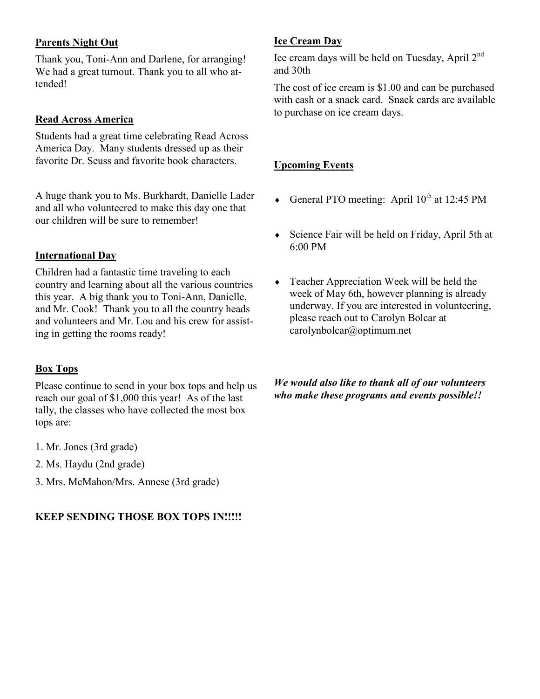## **Parents Night Out**

Thank you, Toni-Ann and Darlene, for arranging! We had a great turnout. Thank you to all who attended!

#### **Read Across America**

Students had a great time celebrating Read Across America Day. Many students dressed up as their favorite Dr. Seuss and favorite book characters.

A huge thank you to Ms. Burkhardt, Danielle Lader and all who volunteered to make this day one that our children will be sure to remember!

#### **International Day**

Children had a fantastic time traveling to each country and learning about all the various countries this year. A big thank you to Toni-Ann, Danielle, and Mr. Cook! Thank you to all the country heads and volunteers and Mr. Lou and his crew for assisting in getting the rooms ready!

#### **Box Tops**

Please continue to send in your box tops and help us reach our goal of \$1,000 this year! As of the last tally, the classes who have collected the most box tops are:

- 1. Mr. Jones (3rd grade)
- 2. Ms. Haydu (2nd grade)
- 3. Mrs. McMahon/Mrs. Annese (3rd grade)

#### **KEEP SENDING THOSE BOX TOPS IN!!!!!**

#### **Ice Cream Day**

Ice cream days will be held on Tuesday, April 2<sup>nd</sup> and 30th

The cost of ice cream is \$1.00 and can be purchased with cash or a snack card. Snack cards are available to purchase on ice cream days.

### **Upcoming Events**

- General PTO meeting: April  $10^{th}$  at 12:45 PM
- Science Fair will be held on Friday, April 5th at 6:00 PM
- Teacher Appreciation Week will be held the week of May 6th, however planning is already underway. If you are interested in volunteering, please reach out to Carolyn Bolcar at carolynbolcar@optimum.net

#### *We would also like to thank all of our volunteers who make these programs and events possible!!*